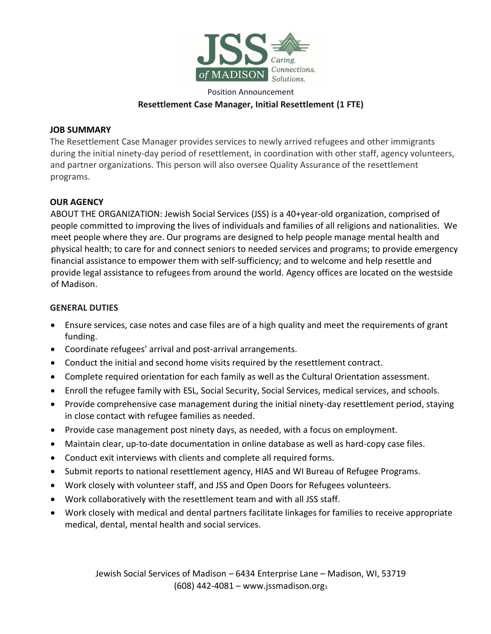

## Position Announcement **Resettlement Case Manager, Initial Resettlement (1 FTE)**

#### **JOB SUMMARY**

The Resettlement Case Manager provides services to newly arrived refugees and other immigrants during the initial ninety-day period of resettlement, in coordination with other staff, agency volunteers, and partner organizations. This person will also oversee Quality Assurance of the resettlement programs.

### **OUR AGENCY**

ABOUT THE ORGANIZATION: Jewish Social Services (JSS) is a 40+year-old organization, comprised of people committed to improving the lives of individuals and families of all religions and nationalities. We meet people where they are. Our programs are designed to help people manage mental health and physical health; to care for and connect seniors to needed services and programs; to provide emergency financial assistance to empower them with self-sufficiency; and to welcome and help resettle and provide legal assistance to refugees from around the world. Agency offices are located on the westside of Madison.

#### **GENERAL DUTIES**

- Ensure services, case notes and case files are of a high quality and meet the requirements of grant funding.
- Coordinate refugees' arrival and post-arrival arrangements.
- Conduct the initial and second home visits required by the resettlement contract.
- Complete required orientation for each family as well as the Cultural Orientation assessment.
- Enroll the refugee family with ESL, Social Security, Social Services, medical services, and schools.
- Provide comprehensive case management during the initial ninety-day resettlement period, staying in close contact with refugee families as needed.
- Provide case management post ninety days, as needed, with a focus on employment.
- Maintain clear, up-to-date documentation in online database as well as hard-copy case files.
- Conduct exit interviews with clients and complete all required forms.
- Submit reports to national resettlement agency, HIAS and WI Bureau of Refugee Programs.
- Work closely with volunteer staff, and JSS and Open Doors for Refugees volunteers.
- Work collaboratively with the resettlement team and with all JSS staff.
- Work closely with medical and dental partners facilitate linkages for families to receive appropriate medical, dental, mental health and social services.

Jewish Social Services of Madison – 6434 Enterprise Lane – Madison, WI, 53719 (608) 442-4081 – www.jssmadison.org $_1$